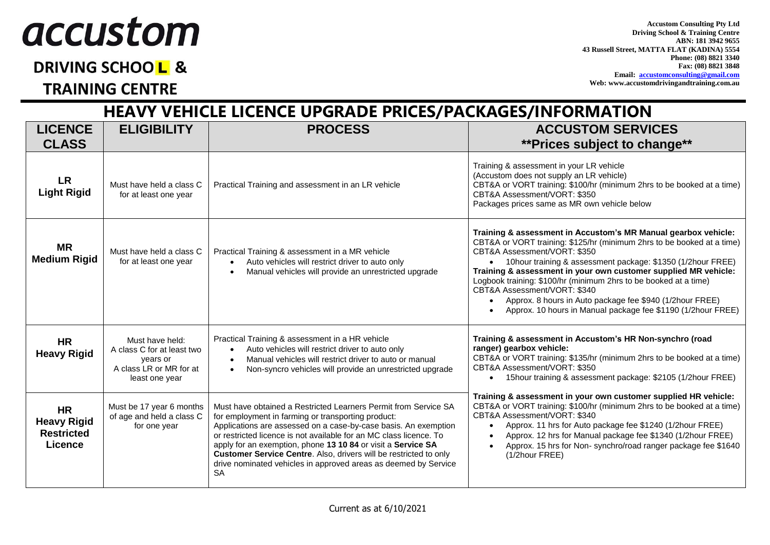## *accustom*

## **DRIVING SCHOOL &**

**TRAINING CENTRE** 

**Accustom Consulting Pty Ltd Driving School & Training Centre ABN: 181 3942 9655 43 Russell Street, MATTA FLAT (KADINA) 5554 Phone: (08) 8821 3340 Fax: (08) 8821 3848 Email: [accustomconsulting@gmail.com](mailto:accustomconsulting@gmail.com) Web: www.accustomdrivingandtraining.com.au**

**HEAVY VEHICLE LICENCE UPGRADE PRICES/PACKAGES/INFORMATION LICENCE CLASS ELIGIBILITY PROCESS ACCUSTOM SERVICES \*\*Prices subject to change\*\* LR Light Rigid** Must have held a class C for at least one year Practical Training and assessment in an LR vehicle Training & assessment in your LR vehicle (Accustom does not supply an LR vehicle) CBT&A or VORT training: \$100/hr (minimum 2hrs to be booked at a time) CBT&A Assessment/VORT: \$350 Packages prices same as MR own vehicle below **MR Medium Rigid** Must have held a class C for at least one year Practical Training & assessment in a MR vehicle Auto vehicles will restrict driver to auto only • Manual vehicles will provide an unrestricted upgrade **Training & assessment in Accustom's MR Manual gearbox vehicle:** CBT&A or VORT training: \$125/hr (minimum 2hrs to be booked at a time) CBT&A Assessment/VORT: \$350 10hour training & assessment package: \$1350 (1/2hour FREE) **Training & assessment in your own customer supplied MR vehicle:** Logbook training: \$100/hr (minimum 2hrs to be booked at a time) CBT&A Assessment/VORT: \$340 Approx. 8 hours in Auto package fee \$940 (1/2hour FREE) Approx. 10 hours in Manual package fee \$1190 (1/2hour FREE) **HR Heavy Rigid** Must have held: A class C for at least two years or A class LR or MR for at least one year Practical Training & assessment in a HR vehicle Auto vehicles will restrict driver to auto only Manual vehicles will restrict driver to auto or manual Non-syncro vehicles will provide an unrestricted upgrade **Training & assessment in Accustom's HR Non-synchro (road ranger) gearbox vehicle:** CBT&A or VORT training: \$135/hr (minimum 2hrs to be booked at a time) CBT&A Assessment/VORT: \$350 15hour training & assessment package: \$2105 (1/2hour FREE) **Training & assessment in your own customer supplied HR vehicle:** CBT&A or VORT training: \$100/hr (minimum 2hrs to be booked at a time) CBT&A Assessment/VORT: \$340 Approx. 11 hrs for Auto package fee \$1240 (1/2hour FREE) Approx. 12 hrs for Manual package fee \$1340 (1/2hour FREE) Approx. 15 hrs for Non- synchro/road ranger package fee \$1640 (1/2hour FREE) **HR Heavy Rigid Restricted Licence** Must be 17 year 6 months of age and held a class C for one year Must have obtained a Restricted Learners Permit from Service SA for employment in farming or transporting product: Applications are assessed on a case-by-case basis. An exemption or restricted licence is not available for an MC class licence. To apply for an exemption, phone **13 10 84** or visit a **Service SA Customer Service Centre**. Also, drivers will be restricted to only drive nominated vehicles in approved areas as deemed by Service SA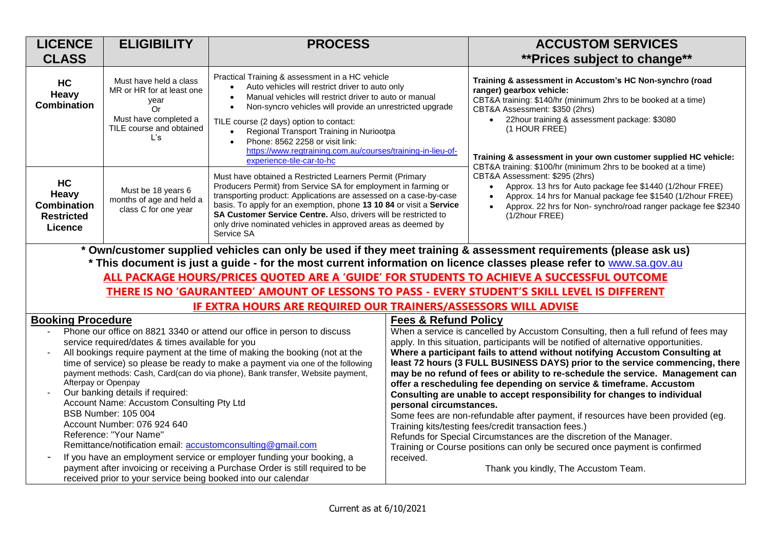| <b>LICENCE</b>                                                                                                                                                                                                                                                                                                                                                                                                                                                                                                                                                                                                                      | <b>ELIGIBILITY</b>                                                                                                            | <b>PROCESS</b>                                                                                                                                                                                                                                                                                                                                                                                                                                                                        |                                                                                                                                                                                                                                                                                                | <b>ACCUSTOM SERVICES</b>                                                                                                                                                                                                                                                                                                                                                                                                                                                                                                                                                                                                                                     |
|-------------------------------------------------------------------------------------------------------------------------------------------------------------------------------------------------------------------------------------------------------------------------------------------------------------------------------------------------------------------------------------------------------------------------------------------------------------------------------------------------------------------------------------------------------------------------------------------------------------------------------------|-------------------------------------------------------------------------------------------------------------------------------|---------------------------------------------------------------------------------------------------------------------------------------------------------------------------------------------------------------------------------------------------------------------------------------------------------------------------------------------------------------------------------------------------------------------------------------------------------------------------------------|------------------------------------------------------------------------------------------------------------------------------------------------------------------------------------------------------------------------------------------------------------------------------------------------|--------------------------------------------------------------------------------------------------------------------------------------------------------------------------------------------------------------------------------------------------------------------------------------------------------------------------------------------------------------------------------------------------------------------------------------------------------------------------------------------------------------------------------------------------------------------------------------------------------------------------------------------------------------|
| <b>CLASS</b>                                                                                                                                                                                                                                                                                                                                                                                                                                                                                                                                                                                                                        |                                                                                                                               |                                                                                                                                                                                                                                                                                                                                                                                                                                                                                       |                                                                                                                                                                                                                                                                                                | ** Prices subject to change**                                                                                                                                                                                                                                                                                                                                                                                                                                                                                                                                                                                                                                |
| HC<br>Heavy<br><b>Combination</b>                                                                                                                                                                                                                                                                                                                                                                                                                                                                                                                                                                                                   | Must have held a class<br>MR or HR for at least one<br>year<br>Or<br>Must have completed a<br>TILE course and obtained<br>L's | Practical Training & assessment in a HC vehicle<br>Auto vehicles will restrict driver to auto only<br>$\bullet$<br>Manual vehicles will restrict driver to auto or manual<br>Non-syncro vehicles will provide an unrestricted upgrade<br>$\bullet$<br>TILE course (2 days) option to contact:<br>Regional Transport Training in Nuriootpa<br>$\bullet$<br>Phone: 8562 2258 or visit link:<br>https://www.regtraining.com.au/courses/training-in-lieu-of-<br>experience-tile-car-to-hc |                                                                                                                                                                                                                                                                                                | Training & assessment in Accustom's HC Non-synchro (road<br>ranger) gearbox vehicle:<br>CBT&A training: \$140/hr (minimum 2hrs to be booked at a time)<br>CBT&A Assessment: \$350 (2hrs)<br>22hour training & assessment package: \$3080<br>(1 HOUR FREE)<br>Training & assessment in your own customer supplied HC vehicle:<br>CBT&A training: \$100/hr (minimum 2hrs to be booked at a time)<br>CBT&A Assessment: \$295 (2hrs)<br>Approx. 13 hrs for Auto package fee \$1440 (1/2hour FREE)<br>$\bullet$<br>Approx. 14 hrs for Manual package fee \$1540 (1/2hour FREE)<br>Approx. 22 hrs for Non-synchro/road ranger package fee \$2340<br>(1/2hour FREE) |
| HC<br>Heavy<br><b>Combination</b><br><b>Restricted</b><br>Licence                                                                                                                                                                                                                                                                                                                                                                                                                                                                                                                                                                   | Must be 18 years 6<br>months of age and held a<br>class C for one year                                                        | Must have obtained a Restricted Learners Permit (Primary<br>Producers Permit) from Service SA for employment in farming or<br>transporting product: Applications are assessed on a case-by-case<br>basis. To apply for an exemption, phone 13 10 84 or visit a Service<br>SA Customer Service Centre. Also, drivers will be restricted to<br>only drive nominated vehicles in approved areas as deemed by<br>Service SA                                                               |                                                                                                                                                                                                                                                                                                |                                                                                                                                                                                                                                                                                                                                                                                                                                                                                                                                                                                                                                                              |
| * Own/customer supplied vehicles can only be used if they meet training & assessment requirements (please ask us)                                                                                                                                                                                                                                                                                                                                                                                                                                                                                                                   |                                                                                                                               |                                                                                                                                                                                                                                                                                                                                                                                                                                                                                       |                                                                                                                                                                                                                                                                                                |                                                                                                                                                                                                                                                                                                                                                                                                                                                                                                                                                                                                                                                              |
| * This document is just a guide - for the most current information on licence classes please refer to www.sa.gov.au                                                                                                                                                                                                                                                                                                                                                                                                                                                                                                                 |                                                                                                                               |                                                                                                                                                                                                                                                                                                                                                                                                                                                                                       |                                                                                                                                                                                                                                                                                                |                                                                                                                                                                                                                                                                                                                                                                                                                                                                                                                                                                                                                                                              |
| ALL PACKAGE HOURS/PRICES QUOTED ARE A 'GUIDE' FOR STUDENTS TO ACHIEVE A SUCCESSFUL OUTCOME                                                                                                                                                                                                                                                                                                                                                                                                                                                                                                                                          |                                                                                                                               |                                                                                                                                                                                                                                                                                                                                                                                                                                                                                       |                                                                                                                                                                                                                                                                                                |                                                                                                                                                                                                                                                                                                                                                                                                                                                                                                                                                                                                                                                              |
| THERE IS NO 'GAURANTEED' AMOUNT OF LESSONS TO PASS - EVERY STUDENT'S SKILL LEVEL IS DIFFERENT                                                                                                                                                                                                                                                                                                                                                                                                                                                                                                                                       |                                                                                                                               |                                                                                                                                                                                                                                                                                                                                                                                                                                                                                       |                                                                                                                                                                                                                                                                                                |                                                                                                                                                                                                                                                                                                                                                                                                                                                                                                                                                                                                                                                              |
| <b>IF EXTRA HOURS ARE REQUIRED OUR TRAINERS/ASSESSORS WILL ADVISE</b>                                                                                                                                                                                                                                                                                                                                                                                                                                                                                                                                                               |                                                                                                                               |                                                                                                                                                                                                                                                                                                                                                                                                                                                                                       |                                                                                                                                                                                                                                                                                                |                                                                                                                                                                                                                                                                                                                                                                                                                                                                                                                                                                                                                                                              |
| <b>Booking Procedure</b><br>Phone our office on 8821 3340 or attend our office in person to discuss<br>service required/dates & times available for you                                                                                                                                                                                                                                                                                                                                                                                                                                                                             |                                                                                                                               |                                                                                                                                                                                                                                                                                                                                                                                                                                                                                       | <b>Fees &amp; Refund Policy</b><br>When a service is cancelled by Accustom Consulting, then a full refund of fees may<br>apply. In this situation, participants will be notified of alternative opportunities.<br>Where a participant fails to attend without notifying Accustom Consulting at |                                                                                                                                                                                                                                                                                                                                                                                                                                                                                                                                                                                                                                                              |
| All bookings require payment at the time of making the booking (not at the<br>$\overline{\phantom{a}}$<br>time of service) so please be ready to make a payment via one of the following<br>payment methods: Cash, Card(can do via phone), Bank transfer, Website payment,<br>Afterpay or Openpay<br>Our banking details if required:<br>Account Name: Accustom Consulting Pty Ltd<br><b>BSB Number: 105 004</b><br>Account Number: 076 924 640<br>Reference: "Your Name"<br>Remittance/notification email: accustomconsulting@gmail.com<br>If you have an employment service or employer funding your booking, a<br>$\blacksquare$ |                                                                                                                               |                                                                                                                                                                                                                                                                                                                                                                                                                                                                                       | personal circumstances.<br>received.                                                                                                                                                                                                                                                           | least 72 hours (3 FULL BUSINESS DAYS) prior to the service commencing, there<br>may be no refund of fees or ability to re-schedule the service. Management can<br>offer a rescheduling fee depending on service & timeframe. Accustom<br>Consulting are unable to accept responsibility for changes to individual<br>Some fees are non-refundable after payment, if resources have been provided (eg.<br>Training kits/testing fees/credit transaction fees.)<br>Refunds for Special Circumstances are the discretion of the Manager.<br>Training or Course positions can only be secured once payment is confirmed                                          |
| payment after invoicing or receiving a Purchase Order is still required to be<br>received prior to your service being booked into our calendar                                                                                                                                                                                                                                                                                                                                                                                                                                                                                      |                                                                                                                               |                                                                                                                                                                                                                                                                                                                                                                                                                                                                                       |                                                                                                                                                                                                                                                                                                | Thank you kindly, The Accustom Team.                                                                                                                                                                                                                                                                                                                                                                                                                                                                                                                                                                                                                         |